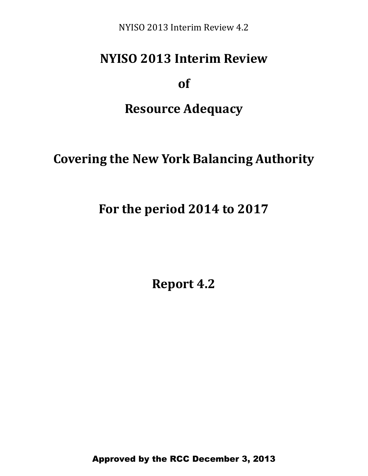# **NYISO 2013 Interim Review**

**of**

# **Resource Adequacy**

# **Covering the New York Balancing Authority**

# **For the period 2014 to 2017**

**Report 4.2**

Approved by the RCC December 3, 2013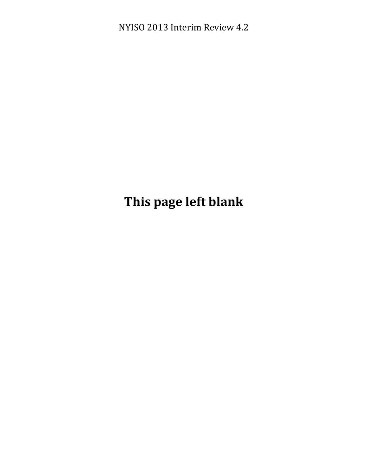**This page left blank**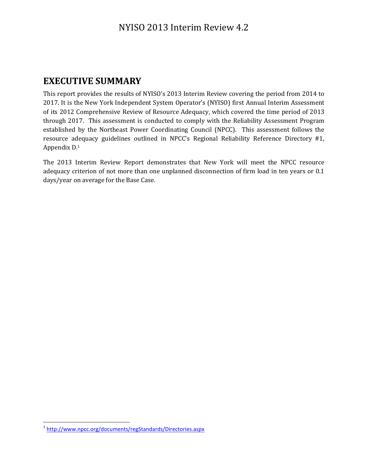### **EXECUTIVE SUMMARY**

This report provides the results of NYISO's 2013 Interim Review covering the period from 2014 to 2017. It is the New York Independent System Operator's (NYISO) first Annual Interim Assessment of its 2012 Comprehensive Review of Resource Adequacy, which covered the time period of 2013 through 2017. This assessment is conducted to comply with the Reliability Assessment Program established by the Northeast Power Coordinating Council (NPCC). This assessment follows the resource adequacy guidelines outlined in NPCC's Regional Reliability Reference Directory #1, Appendix D.<sup>1</sup>

The 2013 Interim Review Report demonstrates that New York will meet the NPCC resource adequacy criterion of not more than one unplanned disconnection of firm load in ten years or 0.1 days/year on average for the Base Case.

 $\overline{\phantom{a}}$ 

<sup>1</sup> <http://www.npcc.org/documents/regStandards/Directories.aspx>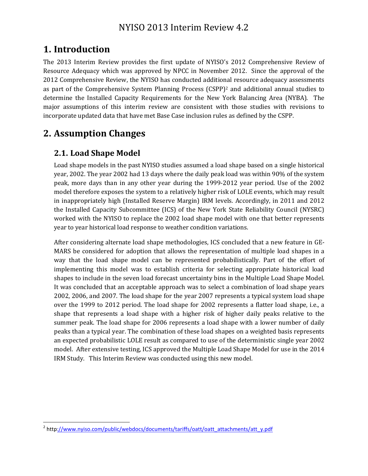## **1. Introduction**

The 2013 Interim Review provides the first update of NYISO's 2012 Comprehensive Review of Resource Adequacy which was approved by NPCC in November 2012. Since the approval of the 2012 Comprehensive Review, the NYISO has conducted additional resource adequacy assessments as part of the Comprehensive System Planning Process (CSPP)2 and additional annual studies to determine the Installed Capacity Requirements for the New York Balancing Area (NYBA). The major assumptions of this interim review are consistent with those studies with revisions to incorporate updated data that have met Base Case inclusion rules as defined by the CSPP.

# **2. Assumption Changes**

### **2.1. Load Shape Model**

Load shape models in the past NYISO studies assumed a load shape based on a single historical year, 2002. The year 2002 had 13 days where the daily peak load was within 90% of the system peak, more days than in any other year during the 1999-2012 year period. Use of the 2002 model therefore exposes the system to a relatively higher risk of LOLE events, which may result in inappropriately high (Installed Reserve Margin) IRM levels. Accordingly, in 2011 and 2012 the Installed Capacity Subcommittee (ICS) of the New York State Reliability Council (NYSRC) worked with the NYISO to replace the 2002 load shape model with one that better represents year to year historical load response to weather condition variations.

After considering alternate load shape methodologies, ICS concluded that a new feature in GE-MARS be considered for adoption that allows the representation of multiple load shapes in a way that the load shape model can be represented probabilistically. Part of the effort of implementing this model was to establish criteria for selecting appropriate historical load shapes to include in the seven load forecast uncertainty bins in the Multiple Load Shape Model. It was concluded that an acceptable approach was to select a combination of load shape years 2002, 2006, and 2007. The load shape for the year 2007 represents a typical system load shape over the 1999 to 2012 period. The load shape for 2002 represents a flatter load shape, i.e., a shape that represents a load shape with a higher risk of higher daily peaks relative to the summer peak. The load shape for 2006 represents a load shape with a lower number of daily peaks than a typical year. The combination of these load shapes on a weighted basis represents an expected probabilistic LOLE result as compared to use of the deterministic single year 2002 model. After extensive testing, ICS approved the Multiple Load Shape Model for use in the 2014 IRM Study. This Interim Review was conducted using this new model.

 $\overline{\phantom{a}}$ <sup>2</sup> http<u>://www.nyiso.com/public/webdocs/documents/tariffs/oatt/oatt\_attachments/att\_y.pdf</u>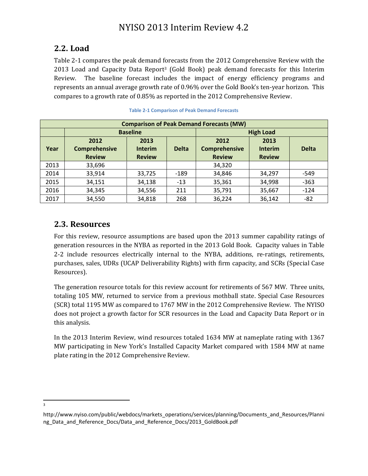#### **2.2. Load**

Table 2-1 compares the peak demand forecasts from the 2012 Comprehensive Review with the 2013 Load and Capacity Data Report<sup>3</sup> (Gold Book) peak demand forecasts for this Interim Review. The baseline forecast includes the impact of energy efficiency programs and represents an annual average growth rate of 0.96% over the Gold Book's ten-year horizon. This compares to a growth rate of 0.85% as reported in the 2012 Comprehensive Review.

| <b>Comparison of Peak Demand Forecasts (MW)</b> |                      |               |              |                      |                |              |
|-------------------------------------------------|----------------------|---------------|--------------|----------------------|----------------|--------------|
|                                                 | <b>Baseline</b>      |               |              | <b>High Load</b>     |                |              |
|                                                 | 2012                 | 2013          |              | 2012                 | 2013           |              |
| Year                                            | <b>Comprehensive</b> | Interim       | <b>Delta</b> | <b>Comprehensive</b> | <b>Interim</b> | <b>Delta</b> |
|                                                 | <b>Review</b>        | <b>Review</b> |              | <b>Review</b>        | <b>Review</b>  |              |
| 2013                                            | 33,696               |               |              | 34,320               |                |              |
| 2014                                            | 33,914               | 33,725        | $-189$       | 34,846               | 34,297         | $-549$       |
| 2015                                            | 34,151               | 34,138        | $-13$        | 35,361               | 34,998         | $-363$       |
| 2016                                            | 34,345               | 34,556        | 211          | 35,791               | 35,667         | $-124$       |
| 2017                                            | 34,550               | 34,818        | 268          | 36,224               | 36,142         | -82          |

#### **Table 2-1 Comparison of Peak Demand Forecasts**

#### **2.3. Resources**

For this review, resource assumptions are based upon the 2013 summer capability ratings of generation resources in the NYBA as reported in the 2013 Gold Book. Capacity values in Table 2-2 include resources electrically internal to the NYBA, additions, re-ratings, retirements, purchases, sales, UDRs (UCAP Deliverability Rights) with firm capacity, and SCRs (Special Case Resources).

The generation resource totals for this review account for retirements of 567 MW. Three units, totaling 105 MW, returned to service from a previous mothball state. Special Case Resources (SCR) total 1195 MW as compared to 1767 MW in the 2012 Comprehensive Review. The NYISO does not project a growth factor for SCR resources in the Load and Capacity Data Report or in this analysis.

In the 2013 Interim Review, wind resources totaled 1634 MW at nameplate rating with 1367 MW participating in New York's Installed Capacity Market compared with 1584 MW at name plate rating in the 2012 Comprehensive Review.

 $\overline{a}$ 3

http://www.nyiso.com/public/webdocs/markets\_operations/services/planning/Documents\_and\_Resources/Planni ng Data and Reference Docs/Data and Reference Docs/2013 GoldBook.pdf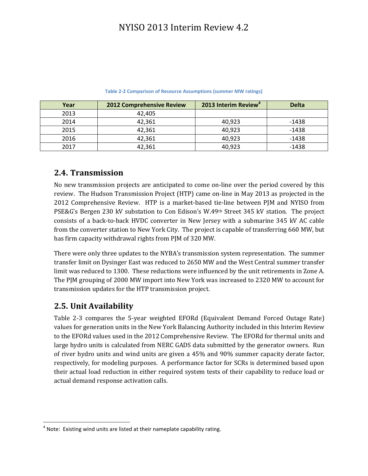| Year | <b>2012 Comprehensive Review</b> | 2013 Interim Review <sup>4</sup> | <b>Delta</b> |
|------|----------------------------------|----------------------------------|--------------|
| 2013 | 42,405                           |                                  |              |
| 2014 | 42,361                           | 40,923                           | $-1438$      |
| 2015 | 42,361                           | 40,923                           | $-1438$      |
| 2016 | 42,361                           | 40,923                           | $-1438$      |
| 2017 | 42,361                           | 40,923                           | $-1438$      |

#### **Table 2-2 Comparison of Resource Assumptions (summer MW ratings)**

#### **2.4. Transmission**

No new transmission projects are anticipated to come on-line over the period covered by this review. The Hudson Transmission Project (HTP) came on-line in May 2013 as projected in the 2012 Comprehensive Review. HTP is a market-based tie-line between PJM and NYISO from PSE&G's Bergen 230 kV substation to Con Edison's W.49th Street 345 kV station. The project consists of a back-to-back HVDC converter in New Jersey with a submarine 345 kV AC cable from the converter station to New York City. The project is capable of transferring 660 MW, but has firm capacity withdrawal rights from PJM of 320 MW.

There were only three updates to the NYBA's transmission system representation. The summer transfer limit on Dysinger East was reduced to 2650 MW and the West Central summer transfer limit was reduced to 1300. These reductions were influenced by the unit retirements in Zone A. The PJM grouping of 2000 MW import into New York was increased to 2320 MW to account for transmission updates for the HTP transmission project.

### **2.5. Unit Availability**

 $\overline{\phantom{a}}$ 

Table 2-3 compares the 5-year weighted EFORd (Equivalent Demand Forced Outage Rate) values for generation units in the New York Balancing Authority included in this Interim Review to the EFORd values used in the 2012 Comprehensive Review. The EFORd for thermal units and large hydro units is calculated from NERC GADS data submitted by the generator owners. Run of river hydro units and wind units are given a 45% and 90% summer capacity derate factor, respectively, for modeling purposes. A performance factor for SCRs is determined based upon their actual load reduction in either required system tests of their capability to reduce load or actual demand response activation calls.

 $<sup>4</sup>$  Note: Existing wind units are listed at their nameplate capability rating.</sup>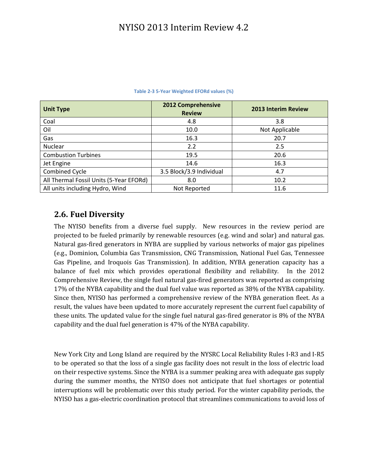| <b>Unit Type</b>                        | 2012 Comprehensive<br><b>Review</b> | <b>2013 Interim Review</b> |  |
|-----------------------------------------|-------------------------------------|----------------------------|--|
| Coal                                    | 4.8                                 | 3.8                        |  |
| Oil                                     | 10.0                                | Not Applicable             |  |
| Gas                                     | 16.3                                | 20.7                       |  |
| Nuclear                                 | 2.2                                 | 2.5                        |  |
| <b>Combustion Turbines</b>              | 19.5                                | 20.6                       |  |
| Jet Engine                              | 14.6                                | 16.3                       |  |
| <b>Combined Cycle</b>                   | 3.5 Block/3.9 Individual            | 4.7                        |  |
| All Thermal Fossil Units (5-Year EFORd) | 8.0                                 | 10.2                       |  |
| All units including Hydro, Wind         | Not Reported                        | 11.6                       |  |

#### **Table 2-3 5-Year Weighted EFORd values (%)**

#### **2.6. Fuel Diversity**

The NYISO benefits from a diverse fuel supply. New resources in the review period are projected to be fueled primarily by renewable resources (e.g. wind and solar) and natural gas. Natural gas‐fired generators in NYBA are supplied by various networks of major gas pipelines (e.g., Dominion, Columbia Gas Transmission, CNG Transmission, National Fuel Gas, Tennessee Gas Pipeline, and Iroquois Gas Transmission). In addition, NYBA generation capacity has a balance of fuel mix which provides operational flexibility and reliability. In the 2012 Comprehensive Review, the single fuel natural gas-fired generators was reported as comprising 17% of the NYBA capability and the dual fuel value was reported as 38% of the NYBA capability. Since then, NYISO has performed a comprehensive review of the NYBA generation fleet. As a result, the values have been updated to more accurately represent the current fuel capability of these units. The updated value for the single fuel natural gas-fired generator is 8% of the NYBA capability and the dual fuel generation is 47% of the NYBA capability.

New York City and Long Island are required by the NYSRC Local Reliability Rules I‐R3 and I‐R5 to be operated so that the loss of a single gas facility does not result in the loss of electric load on their respective systems. Since the NYBA is a summer peaking area with adequate gas supply during the summer months, the NYISO does not anticipate that fuel shortages or potential interruptions will be problematic over this study period. For the winter capability periods, the NYISO has a gas-electric coordination protocol that streamlines communications to avoid loss of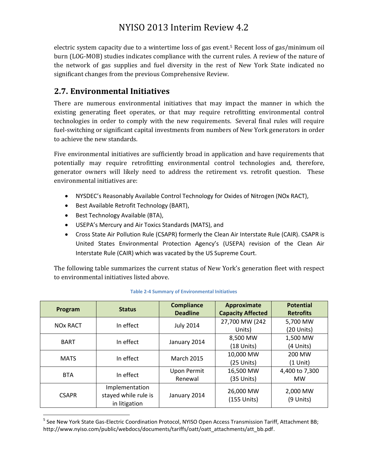electric system capacity due to a wintertime loss of gas event.5 Recent loss of gas/minimum oil burn (LOG‐MOB) studies indicates compliance with the current rules. A review of the nature of the network of gas supplies and fuel diversity in the rest of New York State indicated no significant changes from the previous Comprehensive Review.

### **2.7. Environmental Initiatives**

There are numerous environmental initiatives that may impact the manner in which the existing generating fleet operates, or that may require retrofitting environmental control technologies in order to comply with the new requirements. Several final rules will require fuel-switching or significant capital investments from numbers of New York generators in order to achieve the new standards.

Five environmental initiatives are sufficiently broad in application and have requirements that potentially may require retrofitting environmental control technologies and, therefore, generator owners will likely need to address the retirement vs. retrofit question. These environmental initiatives are:

- NYSDEC's Reasonably Available Control Technology for Oxides of Nitrogen (NOx RACT),
- **Best Available Retrofit Technology (BART),**
- Best Technology Available (BTA),
- USEPA's Mercury and Air Toxics Standards (MATS), and
- Cross State Air Pollution Rule (CSAPR) formerly the Clean Air Interstate Rule (CAIR). CSAPR is United States Environmental Protection Agency's (USEPA) revision of the Clean Air Interstate Rule (CAIR) which was vacated by the US Supreme Court.

The following table summarizes the current status of New York's generation fleet with respect to environmental initiatives listed above.

| Program         | <b>Status</b>        | <b>Compliance</b><br><b>Deadline</b> | Approximate<br><b>Capacity Affected</b> | <b>Potential</b><br><b>Retrofits</b> |
|-----------------|----------------------|--------------------------------------|-----------------------------------------|--------------------------------------|
|                 |                      |                                      |                                         |                                      |
| <b>NOx RACT</b> | In effect            | <b>July 2014</b>                     | 27,700 MW (242                          | 5,700 MW                             |
|                 |                      |                                      | Units)                                  | (20 Units)                           |
| <b>BART</b>     | In effect            | January 2014                         | 8,500 MW                                | 1,500 MW                             |
|                 |                      |                                      | $(18$ Units)                            | (4 Units)                            |
| <b>MATS</b>     | In effect            | <b>March 2015</b>                    | 10,000 MW                               | 200 MW                               |
|                 |                      |                                      | (25 Units)                              | (1 Unit)                             |
| <b>BTA</b>      | In effect            | Upon Permit                          | 16,500 MW                               | 4,400 to 7,300                       |
|                 |                      | Renewal                              | (35 Units)                              | <b>MW</b>                            |
|                 | Implementation       | January 2014                         |                                         |                                      |
| <b>CSAPR</b>    | stayed while rule is |                                      | 26,000 MW                               | 2,000 MW                             |
|                 | in litigation        |                                      | $(155$ Units)                           | (9 Units)                            |
|                 |                      |                                      |                                         |                                      |

| <b>Table 2-4 Summary of Environmental Initiatives</b> |  |
|-------------------------------------------------------|--|
|-------------------------------------------------------|--|

l <sup>5</sup> See New York State Gas-Electric Coordination Protocol, NYISO Open Access Transmission Tariff, Attachment BB; http://www.nyiso.com/public/webdocs/documents/tariffs/oatt/oatt\_attachments/att\_bb.pdf.